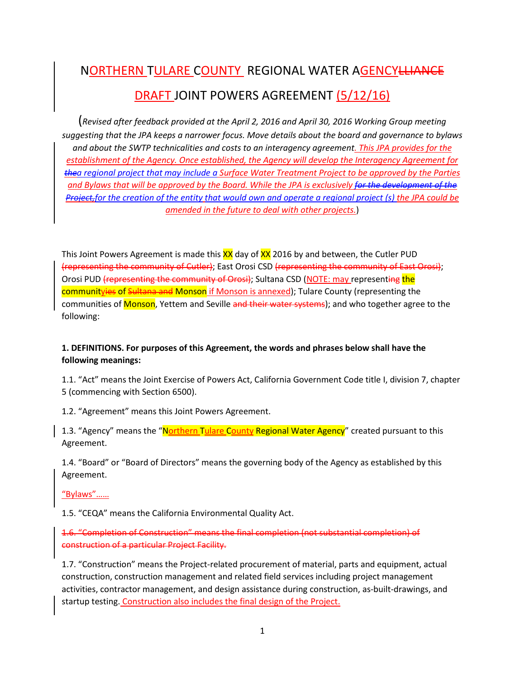# NORTHERN TULARE COUNTY REGIONAL WATER AGENCYLLIANCE DRAFT JOINT POWERS AGREEMENT (5/12/16)

(*Revised after feedback provided at the April 2, 2016 and April 30, 2016 Working Group meeting suggesting that the JPA keeps a narrower focus. Move details about the board and governance to bylaws and about the SWTP technicalities and costs to an interagency agreement. This JPA provides for the establishment of the Agency. Once established, the Agency will develop the Interagency Agreement for thea regional project that may include a Surface Water Treatment Project to be approved by the Parties and Bylaws that will be approved by the Board. While the JPA is exclusively for the development of the Project,for the creation of the entity that would own and operate a regional project (s) the JPA could be amended in the future to deal with other projects.*)

This Joint Powers Agreement is made this **XX** day of **XX** 2016 by and between, the Cutler PUD (representing the community of Cutler); East Orosi CSD (representing the community of East Orosi); Orosi PUD (representing the community of Orosi); Sultana CSD (NOTE: may representing the communityies of Sultana and Monson if Monson is annexed); Tulare County (representing the communities of Monson, Yettem and Seville and their water systems); and who together agree to the following:

# **1. DEFINITIONS. For purposes of this Agreement, the words and phrases below shall have the following meanings:**

1.1. "Act" means the Joint Exercise of Powers Act, California Government Code title I, division 7, chapter 5 (commencing with Section 6500).

1.2. "Agreement" means this Joint Powers Agreement.

1.3. "Agency" means the "Northern Tulare County Regional Water Agency" created pursuant to this Agreement.

1.4. "Board" or "Board of Directors" means the governing body of the Agency as established by this Agreement.

"Bylaws"……

1.5. "CEQA" means the California Environmental Quality Act.

1.6. "Completion of Construction" means the final completion (not substantial completion) of construction of a particular Project Facility.

1.7. "Construction" means the Project-related procurement of material, parts and equipment, actual construction, construction management and related field services including project management activities, contractor management, and design assistance during construction, as-built-drawings, and startup testing. Construction also includes the final design of the Project.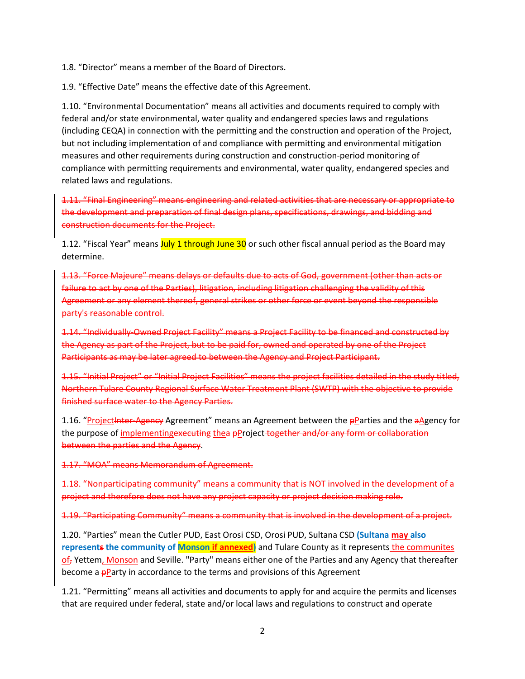1.8. "Director" means a member of the Board of Directors.

1.9. "Effective Date" means the effective date of this Agreement.

1.10. "Environmental Documentation" means all activities and documents required to comply with federal and/or state environmental, water quality and endangered species laws and regulations (including CEQA) in connection with the permitting and the construction and operation of the Project, but not including implementation of and compliance with permitting and environmental mitigation measures and other requirements during construction and construction-period monitoring of compliance with permitting requirements and environmental, water quality, endangered species and related laws and regulations.

1.11. "Final Engineering" means engineering and related activities that are necessary or appropriate to the development and preparation of final design plans, specifications, drawings, and bidding and construction documents for the Project.

1.12. "Fiscal Year" means July 1 through June 30 or such other fiscal annual period as the Board may determine.

1.13. "Force Majeure" means delays or defaults due to acts of God, government (other than acts or failure to act by one of the Parties), litigation, including litigation challenging the validity of this Agreement or any element thereof, general strikes or other force or event beyond the responsible party's reasonable control.

1.14. "Individually-Owned Project Facility" means a Project Facility to be financed and constructed by the Agency as part of the Project, but to be paid for, owned and operated by one of the Project Participants as may be later agreed to between the Agency and Project Participant.

1.15. "Initial Project" or "Initial Project Facilities" means the project facilities detailed in the study titled, Northern Tulare County Regional Surface Water Treatment Plant (SWTP) with the objective to provide finished surface water to the Agency Parties.

1.16. "Project Inter-Agency Agreement" means an Agreement between the pParties and the aAgency for the purpose of implementingexecuting thea pProject together and/or any form or collaboration between the parties and the Agency.

1.17. "MOA" means Memorandum of Agreement.

1.18. "Nonparticipating community" means a community that is NOT involved in the development of a project and therefore does not have any project capacity or project decision making role.

1.19. "Participating Community" means a community that is involved in the development of a project.

1.20. "Parties" mean the Cutler PUD, East Orosi CSD, Orosi PUD, Sultana CSD **(Sultana may also represents the community of Monson if annexed)** and Tulare County as it represents the communites of<sub>r</sub> Yettem, Monson and Seville. "Party" means either one of the Parties and any Agency that thereafter become a **pParty** in accordance to the terms and provisions of this Agreement

1.21. "Permitting" means all activities and documents to apply for and acquire the permits and licenses that are required under federal, state and/or local laws and regulations to construct and operate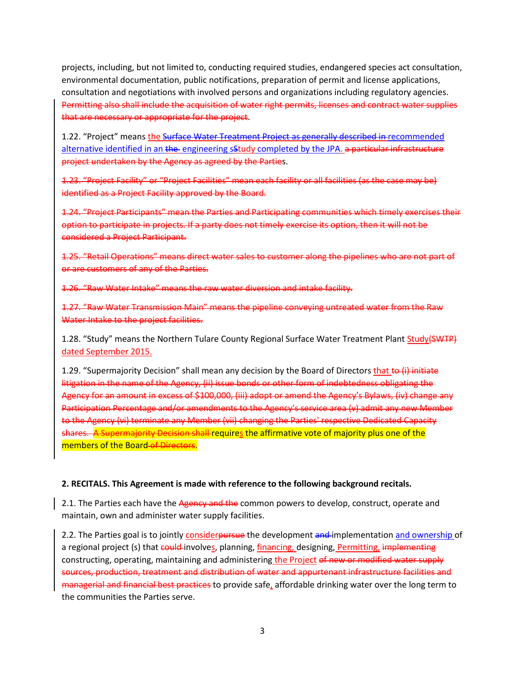projects, including, but not limited to, conducting required studies, endangered species act consultation, environmental documentation, public notifications, preparation of permit and license applications, consultation and negotiations with involved persons and organizations including regulatory agencies. Permitting also shall include the acquisition of water right permits, licenses and contract water supplies that are necessary or appropriate for the project.

1.22. "Project" means the Surface Water Treatment Project as generally described in recommended alternative identified in an the engineering sstudy completed by the JPA. a particular infrastructure project undertaken by the Agency as agreed by the Parties.

1.23. "Project Facility" or "Project Facilities" mean each facility or all facilities (as the case may be) identified as a Project Facility approved by the Board.

1.24. "Project Participants" mean the Parties and Participating communities which timely exercises their option to participate in projects. If a party does not timely exercise its option, then it will not be considered a Project Participant.

1.25. "Retail Operations" means direct water sales to customer along the pipelines who are not part of or are customers of any of the Parties.

1.26. "Raw Water Intake" means the raw water diversion and intake facility.

1.27. "Raw Water Transmission Main" means the pipeline conveying untreated water from the Raw Water Intake to the project facilities.

1.28. "Study" means the Northern Tulare County Regional Surface Water Treatment Plant Study(SWTP) dated September 2015.

1.29. "Supermajority Decision" shall mean any decision by the Board of Directors that to (i) initiate litigation in the name of the Agency, (ii) issue bonds or other form of indebtedness obligating the Agency for an amount in excess of \$100,000, (iii) adopt or amend the Agency's Bylaws, (iv) change any Participation Percentage and/or amendments to the Agency's service area (v) admit any new Member to the Agency (vi) terminate any Member (vii) changing the Parties' respective Dedicated Capacity shares. A Supermajority Decision shall requires the affirmative vote of majority plus one of the members of the Board of Directors.

## **2. RECITALS. This Agreement is made with reference to the following background recitals.**

2.1. The Parties each have the Agency and the common powers to develop, construct, operate and maintain, own and administer water supply facilities.

2.2. The Parties goal is to jointly considerpursue the development and implementation and ownership of a regional project (s) that could involves, planning, financing, designing, Permitting, implementing constructing, operating, maintaining and administering the Project of new or modified water supply sources, production, treatment and distribution of water and appurtenant infrastructure facilities and managerial and financial best practices to provide safe, affordable drinking water over the long term to the communities the Parties serve.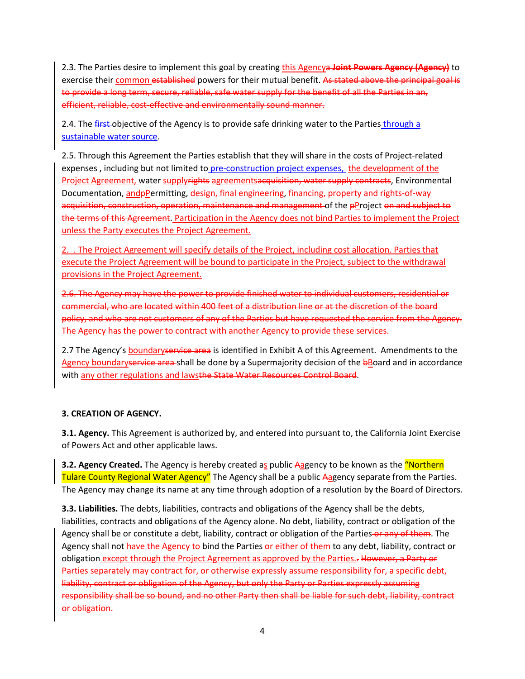2.3. The Parties desire to implement this goal by creating this Agencya **Joint Powers Agency (Agency)** to exercise their common established powers for their mutual benefit. As stated above the principal goal is to provide a long term, secure, reliable, safe water supply for the benefit of all the Parties in an, efficient, reliable, cost-effective and environmentally sound manner.

2.4. The first-objective of the Agency is to provide safe drinking water to the Parties through a sustainable water source.

2.5. Through this Agreement the Parties establish that they will share in the costs of Project-related expenses , including but not limited to pre-construction project expenses, the development of the Project Agreement, water supplyrights agreementsacquisition, water supply contracts, Environmental Documentation, and pPermitting, design, final engineering, financing, property and rights-of-way acquisition, construction, operation, maintenance and management of the pProject on and subject to the terms of this Agreement. Participation in the Agency does not bind Parties to implement the Project unless the Party executes the Project Agreement.

2. . The Project Agreement will specify details of the Project, including cost allocation. Parties that execute the Project Agreement will be bound to participate in the Project, subject to the withdrawal provisions in the Project Agreement.

2.6. The Agency may have the power to provide finished water to individual customers, residential or commercial, who are located within 400 feet of a distribution line or at the discretion of the board policy, and who are not customers of any of the Parties but have requested the service from the Agency. The Agency has the power to contract with another Agency to provide these services.

2.7 The Agency's boundary service area is identified in Exhibit A of this Agreement. Amendments to the Agency boundaryservice area-shall be done by a Supermajority decision of the bBoard and in accordance with any other regulations and lawsthe State Water Resources Control Board.

## **3. CREATION OF AGENCY.**

**3.1. Agency.** This Agreement is authorized by, and entered into pursuant to, the California Joint Exercise of Powers Act and other applicable laws.

**3.2. Agency Created.** The Agency is hereby created as public Aagency to be known as the "Northern" Tulare County Regional Water Agency" The Agency shall be a public Aagency separate from the Parties. The Agency may change its name at any time through adoption of a resolution by the Board of Directors.

**3.3. Liabilities.** The debts, liabilities, contracts and obligations of the Agency shall be the debts, liabilities, contracts and obligations of the Agency alone. No debt, liability, contract or obligation of the Agency shall be or constitute a debt, liability, contract or obligation of the Parties or any of them. The Agency shall not have the Agency to bind the Parties or either of them to any debt, liability, contract or obligation except through the Project Agreement as approved by the Parties.. However, a Party or Parties separately may contract for, or otherwise expressly assume responsibility for, a specific debt, liability, contract or obligation of the Agency, but only the Party or Parties expressly assuming responsibility shall be so bound, and no other Party then shall be liable for such debt, liability, contract or obligation.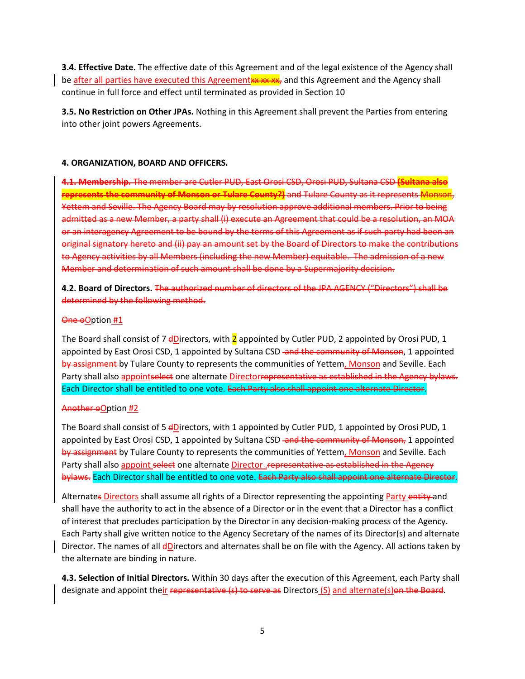**3.4. Effective Date**. The effective date of this Agreement and of the legal existence of the Agency shall be after all parties have executed this Agreementxx xx xx, and this Agreement and the Agency shall continue in full force and effect until terminated as provided in Section 10

**3.5. No Restriction on Other JPAs.** Nothing in this Agreement shall prevent the Parties from entering into other joint powers Agreements.

## **4. ORGANIZATION, BOARD AND OFFICERS.**

**4.1. Membership.** The member are Cutler PUD, East Orosi CSD, Orosi PUD, Sultana CSD **(Sultana also represents the community of Monson or Tulare County?)** and Tulare County as it represents Monson, Yettem and Seville. The Agency Board may by resolution approve additional members. Prior to being admitted as a new Member, a party shall (i) execute an Agreement that could be a resolution, an MOA or an interagency Agreement to be bound by the terms of this Agreement as if such party had been an original signatory hereto and (ii) pay an amount set by the Board of Directors to make the contributions to Agency activities by all Members (including the new Member) equitable. The admission of a new Member and determination of such amount shall be done by a Supermajority decision.

**4.2. Board of Directors.** The authorized number of directors of the JPA AGENCY ("Directors") shall be determined by the following method.

## One oOption #1

The Board shall consist of 7  $d$ Directors, with 2 appointed by Cutler PUD, 2 appointed by Orosi PUD, 1 appointed by East Orosi CSD, 1 appointed by Sultana CSD and the community of Monson, 1 appointed by assignment by Tulare County to represents the communities of Yettem, Monson and Seville. Each Party shall also appointselect one alternate Directorrepresentative as established in the Agency bylaws. Each Director shall be entitled to one vote. Each Party also shall appoint one alternate Director.

## Another oOption #2

The Board shall consist of 5 dDirectors, with 1 appointed by Cutler PUD, 1 appointed by Orosi PUD, 1 appointed by East Orosi CSD, 1 appointed by Sultana CSD and the community of Monson, 1 appointed by assignment by Tulare County to represents the communities of Yettem, Monson and Seville. Each Party shall also appoint select one alternate Director . representative as established in the Agency bylaws. Each Director shall be entitled to one vote. Each Party also shall appoint one alternate Director.

Alternates Directors shall assume all rights of a Director representing the appointing Party entity and shall have the authority to act in the absence of a Director or in the event that a Director has a conflict of interest that precludes participation by the Director in any decision-making process of the Agency. Each Party shall give written notice to the Agency Secretary of the names of its Director(s) and alternate Director. The names of all *dD*irectors and alternates shall be on file with the Agency. All actions taken by the alternate are binding in nature.

**4.3. Selection of Initial Directors.** Within 30 days after the execution of this Agreement, each Party shall designate and appoint their representative (s) to serve as Directors (S) and alternate(s) on the Board.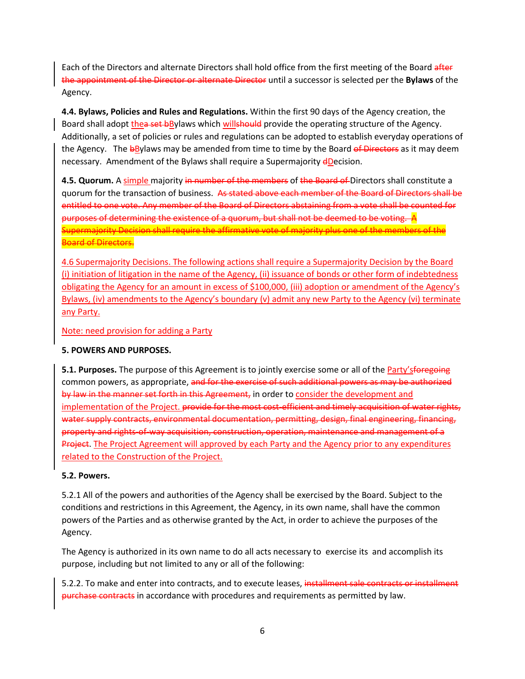Each of the Directors and alternate Directors shall hold office from the first meeting of the Board after the appointment of the Director or alternate Director until a successor is selected per the **Bylaws** of the Agency.

**4.4. Bylaws, Policies and Rules and Regulations.** Within the first 90 days of the Agency creation, the Board shall adopt thea set bBylaws which willshould provide the operating structure of the Agency. Additionally, a set of policies or rules and regulations can be adopted to establish everyday operations of the Agency. The **b**Bylaws may be amended from time to time by the Board of Directors as it may deem necessary. Amendment of the Bylaws shall require a Supermajority dDecision.

4.5. Quorum. A simple majority in number of the members of the Board of Directors shall constitute a quorum for the transaction of business. As stated above each member of the Board of Directors shall be entitled to one vote. Any member of the Board of Directors abstaining from a vote shall be counted for purposes of determining the existence of a quorum, but shall not be deemed to be voting. A Supermajority Decision shall require the affirmative vote of majority plus one of the members of the Board of Directors.

4.6 Supermajority Decisions. The following actions shall require a Supermajority Decision by the Board (i) initiation of litigation in the name of the Agency, (ii) issuance of bonds or other form of indebtedness obligating the Agency for an amount in excess of \$100,000, (iii) adoption or amendment of the Agency's Bylaws, (iv) amendments to the Agency's boundary (v) admit any new Party to the Agency (vi) terminate any Party.

Note: need provision for adding a Party

# **5. POWERS AND PURPOSES.**

**5.1. Purposes.** The purpose of this Agreement is to jointly exercise some or all of the Party'sforegoing common powers, as appropriate, and for the exercise of such additional powers as may be authorized by law in the manner set forth in this Agreement, in order to consider the development and implementation of the Project. provide for the most cost-efficient and timely acquisition of water rights, water supply contracts, environmental documentation, permitting, design, final engineering, financing, property and rights-of-way acquisition, construction, operation, maintenance and management of a Project. The Project Agreement will approved by each Party and the Agency prior to any expenditures related to the Construction of the Project.

# **5.2. Powers.**

5.2.1 All of the powers and authorities of the Agency shall be exercised by the Board. Subject to the conditions and restrictions in this Agreement, the Agency, in its own name, shall have the common powers of the Parties and as otherwise granted by the Act, in order to achieve the purposes of the Agency.

The Agency is authorized in its own name to do all acts necessary to exercise its and accomplish its purpose, including but not limited to any or all of the following:

5.2.2. To make and enter into contracts, and to execute leases, installment sale contracts or installment purchase contracts in accordance with procedures and requirements as permitted by law.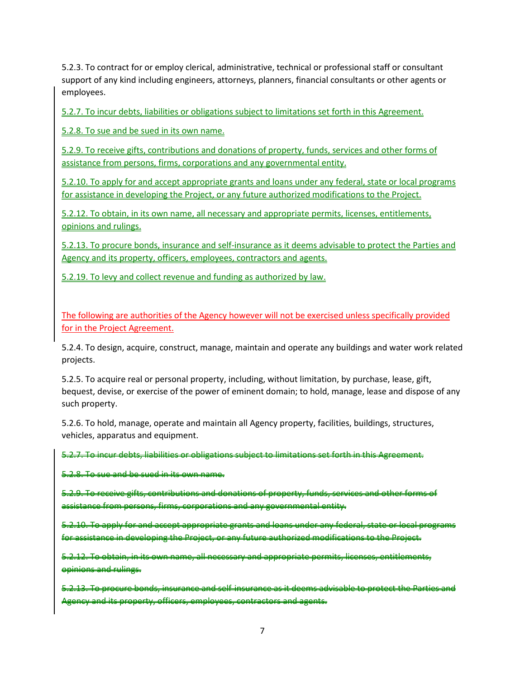5.2.3. To contract for or employ clerical, administrative, technical or professional staff or consultant support of any kind including engineers, attorneys, planners, financial consultants or other agents or employees.

5.2.7. To incur debts, liabilities or obligations subject to limitations set forth in this Agreement.

5.2.8. To sue and be sued in its own name.

5.2.9. To receive gifts, contributions and donations of property, funds, services and other forms of assistance from persons, firms, corporations and any governmental entity.

5.2.10. To apply for and accept appropriate grants and loans under any federal, state or local programs for assistance in developing the Project, or any future authorized modifications to the Project.

5.2.12. To obtain, in its own name, all necessary and appropriate permits, licenses, entitlements, opinions and rulings.

5.2.13. To procure bonds, insurance and self-insurance as it deems advisable to protect the Parties and Agency and its property, officers, employees, contractors and agents.

5.2.19. To levy and collect revenue and funding as authorized by law.

The following are authorities of the Agency however will not be exercised unless specifically provided for in the Project Agreement.

5.2.4. To design, acquire, construct, manage, maintain and operate any buildings and water work related projects.

5.2.5. To acquire real or personal property, including, without limitation, by purchase, lease, gift, bequest, devise, or exercise of the power of eminent domain; to hold, manage, lease and dispose of any such property.

5.2.6. To hold, manage, operate and maintain all Agency property, facilities, buildings, structures, vehicles, apparatus and equipment.

5.2.7. To incur debts, liabilities or obligations subject to limitations set forth in this Agreement.

5.2.8. To sue and be sued in its own name.

5.2.9. To receive gifts, contributions and donations of property, funds, services and other forms of assistance from persons, firms, corporations and any governmental entity.

5.2.10. To apply for and accept appropriate grants and loans under any federal, state or local programs for assistance in developing the Project, or any future authorized modifications to the Project.

5.2.12. To obtain, in its own name, all necessary and appropriate permits, licenses, entitlements, opinions and rulings.

5.2.13. To procure bonds, insurance and self-insurance as it deems advisable to protect the Parties and Agency and its property, officers, employees, contractors and agents.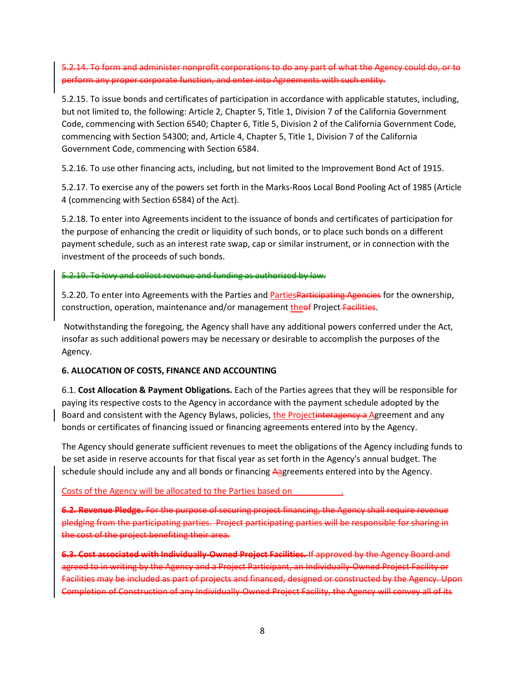5.2.14. To form and administer nonprofit corporations to do any part of what the Agency could do, or to perform any proper corporate function, and enter into Agreements with such entity.

5.2.15. To issue bonds and certificates of participation in accordance with applicable statutes, including, but not limited to, the following: Article 2, Chapter 5, Title 1, Division 7 of the California Government Code, commencing with Section 6540; Chapter 6, Title 5, Division 2 of the California Government Code, commencing with Section 54300; and, Article 4, Chapter 5, Title 1, Division 7 of the California Government Code, commencing with Section 6584.

5.2.16. To use other financing acts, including, but not limited to the Improvement Bond Act of 1915.

5.2.17. To exercise any of the powers set forth in the Marks-Roos Local Bond Pooling Act of 1985 (Article 4 (commencing with Section 6584) of the Act).

5.2.18. To enter into Agreements incident to the issuance of bonds and certificates of participation for the purpose of enhancing the credit or liquidity of such bonds, or to place such bonds on a different payment schedule, such as an interest rate swap, cap or similar instrument, or in connection with the investment of the proceeds of such bonds.

## 5.2.19. To levy and collect revenue and funding as authorized by law.

5.2.20. To enter into Agreements with the Parties and **Parties Participating Agencies** for the ownership, construction, operation, maintenance and/or management theof Project Facilities.

Notwithstanding the foregoing, the Agency shall have any additional powers conferred under the Act, insofar as such additional powers may be necessary or desirable to accomplish the purposes of the Agency.

## **6. ALLOCATION OF COSTS, FINANCE AND ACCOUNTING**

6.1. **Cost Allocation & Payment Obligations.** Each of the Parties agrees that they will be responsible for paying its respective costs to the Agency in accordance with the payment schedule adopted by the Board and consistent with the Agency Bylaws, policies, the Projectinteragency a Agreement and any bonds or certificates of financing issued or financing agreements entered into by the Agency.

The Agency should generate sufficient revenues to meet the obligations of the Agency including funds to be set aside in reserve accounts for that fiscal year as set forth in the Agency's annual budget. The schedule should include any and all bonds or financing Aagreements entered into by the Agency.

## Costs of the Agency will be allocated to the Parties based on

**6.2. Revenue Pledge.** For the purpose of securing project financing, the Agency shall require revenue pledging from the participating parties. Project participating parties will be responsible for sharing in the cost of the project benefiting their area.

**6.3. Cost associated with Individually-Owned Project Facilities.** If approved by the Agency Board and agreed to in writing by the Agency and a Project Participant, an Individually-Owned Project Facility or Facilities may be included as part of projects and financed, designed or constructed by the Agency. Upon Completion of Construction of any Individually-Owned Project Facility, the Agency will convey all of its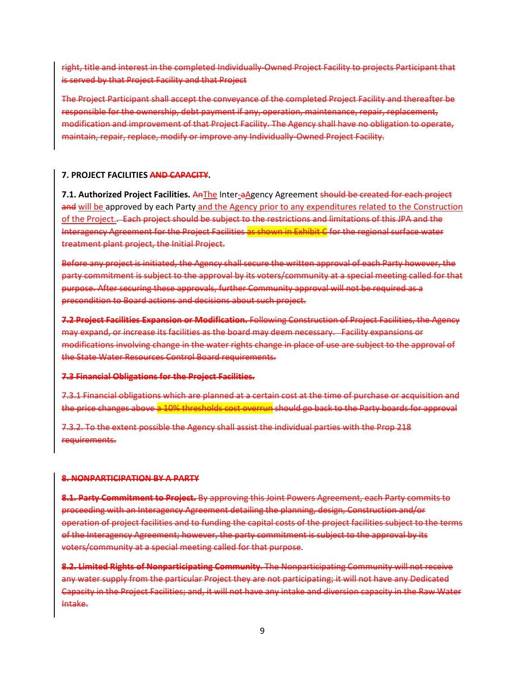right, title and interest in the completed Individually-Owned Project Facility to projects Participant that is served by that Project Facility and that Project

The Project Participant shall accept the conveyance of the completed Project Facility and thereafter be responsible for the ownership, debt payment if any, operation, maintenance, repair, replacement, modification and improvement of that Project Facility. The Agency shall have no obligation to operate, maintain, repair, replace, modify or improve any Individually-Owned Project Facility.

#### **7. PROJECT FACILITIES AND CAPACITY.**

**7.1. Authorized Project Facilities.** AnThe Inter-aAgency Agreement should be created for each project and will be approved by each Party and the Agency prior to any expenditures related to the Construction of the Project.. Each project should be subject to the restrictions and limitations of this JPA and the Interagency Agreement for the Project Facilities as shown in Exhibit C for the regional surface water treatment plant project, the Initial Project.

Before any project is initiated, the Agency shall secure the written approval of each Party however, the party commitment is subject to the approval by its voters/community at a special meeting called for that purpose. After securing these approvals, further Community approval will not be required as a precondition to Board actions and decisions about such project.

**7.2 Project Facilities Expansion or Modification.** Following Construction of Project Facilities, the Agency may expand, or increase its facilities as the board may deem necessary. Facility expansions or modifications involving change in the water rights change in place of use are subject to the approval of the State Water Resources Control Board requirements.

#### **7.3 Financial Obligations for the Project Facilities.**

7.3.1 Financial obligations which are planned at a certain cost at the time of purchase or acquisition and the price changes above a 10% thresholds cost overrun should go back to the Party boards for approval

7.3.2. To the extent possible the Agency shall assist the individual parties with the Prop 218 requirements.

#### **8. NONPARTICIPATION BY A PARTY**

**8.1. Party Commitment to Project.** By approving this Joint Powers Agreement, each Party commits to proceeding with an Interagency Agreement detailing the planning, design, Construction and/or operation of project facilities and to funding the capital costs of the project facilities subject to the terms of the Interagency Agreement; however, the party commitment is subject to the approval by its voters/community at a special meeting called for that purpose.

**8.2. Limited Rights of Nonparticipating Community**. The Nonparticipating Community will not receive any water supply from the particular Project they are not participating; it will not have any Dedicated Capacity in the Project Facilities; and, it will not have any intake and diversion capacity in the Raw Water Intake.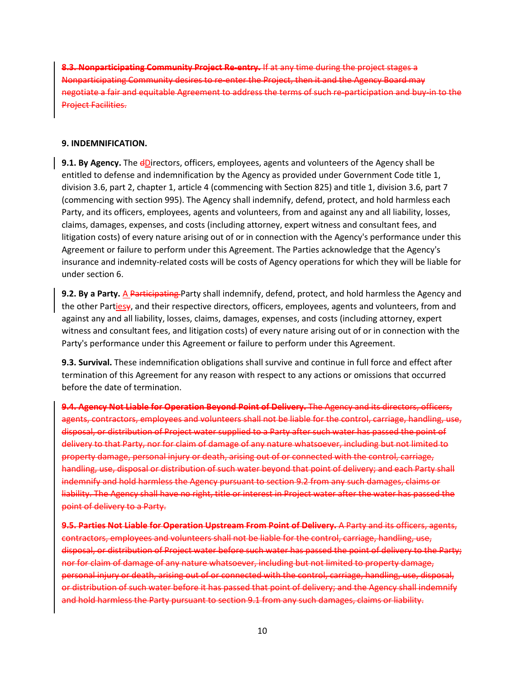**8.3. Nonparticipating Community Project Re-entry.** If at any time during the project stages a Nonparticipating Community desires to re-enter the Project, then it and the Agency Board may negotiate a fair and equitable Agreement to address the terms of such re-participation and buy-in to the Project Facilities.

#### **9. INDEMNIFICATION.**

**9.1. By Agency.** The dDirectors, officers, employees, agents and volunteers of the Agency shall be entitled to defense and indemnification by the Agency as provided under Government Code title 1, division 3.6, part 2, chapter 1, article 4 (commencing with Section 825) and title 1, division 3.6, part 7 (commencing with section 995). The Agency shall indemnify, defend, protect, and hold harmless each Party, and its officers, employees, agents and volunteers, from and against any and all liability, losses, claims, damages, expenses, and costs (including attorney, expert witness and consultant fees, and litigation costs) of every nature arising out of or in connection with the Agency's performance under this Agreement or failure to perform under this Agreement. The Parties acknowledge that the Agency's insurance and indemnity-related costs will be costs of Agency operations for which they will be liable for under section 6.

**9.2. By a Party.** A Participating Party shall indemnify, defend, protect, and hold harmless the Agency and the other Partiesy, and their respective directors, officers, employees, agents and volunteers, from and against any and all liability, losses, claims, damages, expenses, and costs (including attorney, expert witness and consultant fees, and litigation costs) of every nature arising out of or in connection with the Party's performance under this Agreement or failure to perform under this Agreement.

**9.3. Survival.** These indemnification obligations shall survive and continue in full force and effect after termination of this Agreement for any reason with respect to any actions or omissions that occurred before the date of termination.

**9.4. Agency Not Liable for Operation Beyond Point of Delivery.** The Agency and its directors, officers, agents, contractors, employees and volunteers shall not be liable for the control, carriage, handling, use, disposal, or distribution of Project water supplied to a Party after such water has passed the point of delivery to that Party, nor for claim of damage of any nature whatsoever, including but not limited to property damage, personal injury or death, arising out of or connected with the control, carriage, handling, use, disposal or distribution of such water beyond that point of delivery; and each Party shall indemnify and hold harmless the Agency pursuant to section 9.2 from any such damages, claims or liability. The Agency shall have no right, title or interest in Project water after the water has passed the point of delivery to a Party.

**9.5. Parties Not Liable for Operation Upstream From Point of Delivery.** A Party and its officers, agents, contractors, employees and volunteers shall not be liable for the control, carriage, handling, use, disposal, or distribution of Project water before such water has passed the point of delivery to the Party; nor for claim of damage of any nature whatsoever, including but not limited to property damage, personal injury or death, arising out of or connected with the control, carriage, handling, use, disposal, or distribution of such water before it has passed that point of delivery; and the Agency shall indemnify and hold harmless the Party pursuant to section 9.1 from any such damages, claims or liability.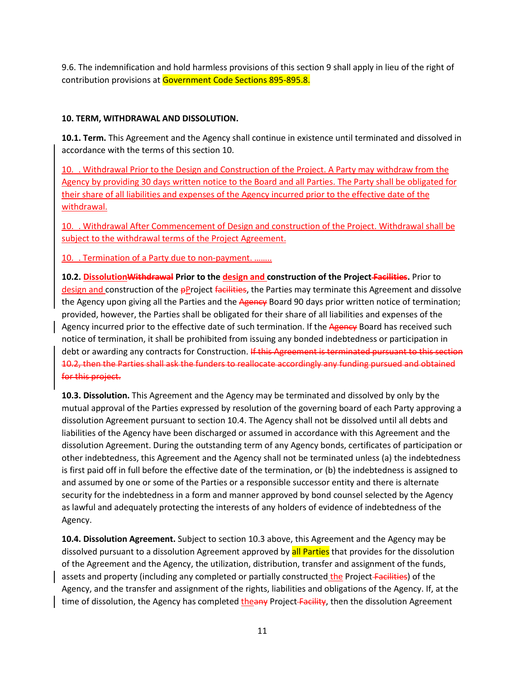9.6. The indemnification and hold harmless provisions of this section 9 shall apply in lieu of the right of contribution provisions at Government Code Sections 895-895.8.

# **10. TERM, WITHDRAWAL AND DISSOLUTION.**

**10.1. Term.** This Agreement and the Agency shall continue in existence until terminated and dissolved in accordance with the terms of this section 10.

10.\_. Withdrawal Prior to the Design and Construction of the Project. A Party may withdraw from the Agency by providing 30 days written notice to the Board and all Parties. The Party shall be obligated for their share of all liabilities and expenses of the Agency incurred prior to the effective date of the withdrawal.

10.\_. Withdrawal After Commencement of Design and construction of the Project. Withdrawal shall be subject to the withdrawal terms of the Project Agreement.

10. Termination of a Party due to non-payment. ……..

**10.2. DissolutionWithdrawal Prior to the design and construction of the Project Facilities.** Prior to design and construction of the **pP**roject facilities, the Parties may terminate this Agreement and dissolve the Agency upon giving all the Parties and the Agency Board 90 days prior written notice of termination; provided, however, the Parties shall be obligated for their share of all liabilities and expenses of the Agency incurred prior to the effective date of such termination. If the Agency Board has received such notice of termination, it shall be prohibited from issuing any bonded indebtedness or participation in debt or awarding any contracts for Construction. If this Agreement is terminated pursuant to this section 10.2, then the Parties shall ask the funders to reallocate accordingly any funding pursued and obtained for this project.

**10.3. Dissolution.** This Agreement and the Agency may be terminated and dissolved by only by the mutual approval of the Parties expressed by resolution of the governing board of each Party approving a dissolution Agreement pursuant to section 10.4. The Agency shall not be dissolved until all debts and liabilities of the Agency have been discharged or assumed in accordance with this Agreement and the dissolution Agreement. During the outstanding term of any Agency bonds, certificates of participation or other indebtedness, this Agreement and the Agency shall not be terminated unless (a) the indebtedness is first paid off in full before the effective date of the termination, or (b) the indebtedness is assigned to and assumed by one or some of the Parties or a responsible successor entity and there is alternate security for the indebtedness in a form and manner approved by bond counsel selected by the Agency as lawful and adequately protecting the interests of any holders of evidence of indebtedness of the Agency.

**10.4. Dissolution Agreement.** Subject to section 10.3 above, this Agreement and the Agency may be dissolved pursuant to a dissolution Agreement approved by all Parties that provides for the dissolution of the Agreement and the Agency, the utilization, distribution, transfer and assignment of the funds, assets and property (including any completed or partially constructed the Project-Facilities) of the Agency, and the transfer and assignment of the rights, liabilities and obligations of the Agency. If, at the time of dissolution, the Agency has completed theany Project-Facility, then the dissolution Agreement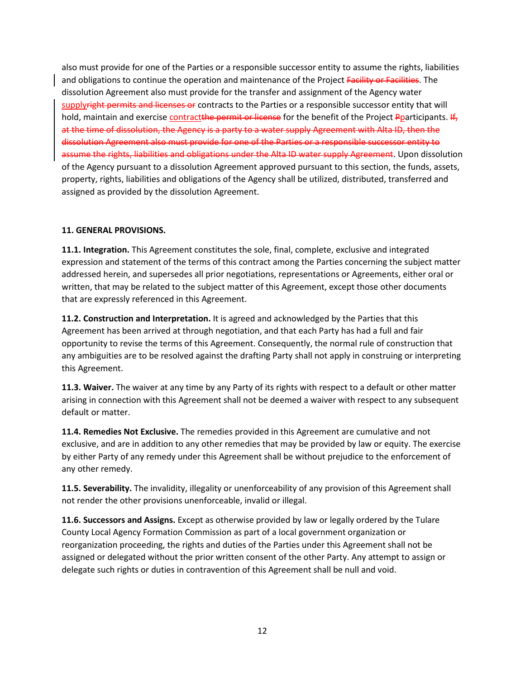also must provide for one of the Parties or a responsible successor entity to assume the rights, liabilities and obligations to continue the operation and maintenance of the Project Facility or Facilities. The dissolution Agreement also must provide for the transfer and assignment of the Agency water supplyright permits and licenses or contracts to the Parties or a responsible successor entity that will hold, maintain and exercise contractthe permit or license for the benefit of the Project Pparticipants. If, at the time of dissolution, the Agency is a party to a water supply Agreement with Alta ID, then the dissolution Agreement also must provide for one of the Parties or a responsible successor entity to assume the rights, liabilities and obligations under the Alta ID water supply Agreement. Upon dissolution of the Agency pursuant to a dissolution Agreement approved pursuant to this section, the funds, assets, property, rights, liabilities and obligations of the Agency shall be utilized, distributed, transferred and assigned as provided by the dissolution Agreement.

# **11. GENERAL PROVISIONS.**

**11.1. Integration.** This Agreement constitutes the sole, final, complete, exclusive and integrated expression and statement of the terms of this contract among the Parties concerning the subject matter addressed herein, and supersedes all prior negotiations, representations or Agreements, either oral or written, that may be related to the subject matter of this Agreement, except those other documents that are expressly referenced in this Agreement.

**11.2. Construction and Interpretation.** It is agreed and acknowledged by the Parties that this Agreement has been arrived at through negotiation, and that each Party has had a full and fair opportunity to revise the terms of this Agreement. Consequently, the normal rule of construction that any ambiguities are to be resolved against the drafting Party shall not apply in construing or interpreting this Agreement.

**11.3. Waiver.** The waiver at any time by any Party of its rights with respect to a default or other matter arising in connection with this Agreement shall not be deemed a waiver with respect to any subsequent default or matter.

**11.4. Remedies Not Exclusive.** The remedies provided in this Agreement are cumulative and not exclusive, and are in addition to any other remedies that may be provided by law or equity. The exercise by either Party of any remedy under this Agreement shall be without prejudice to the enforcement of any other remedy.

**11.5. Severability.** The invalidity, illegality or unenforceability of any provision of this Agreement shall not render the other provisions unenforceable, invalid or illegal.

**11.6. Successors and Assigns.** Except as otherwise provided by law or legally ordered by the Tulare County Local Agency Formation Commission as part of a local government organization or reorganization proceeding, the rights and duties of the Parties under this Agreement shall not be assigned or delegated without the prior written consent of the other Party. Any attempt to assign or delegate such rights or duties in contravention of this Agreement shall be null and void.